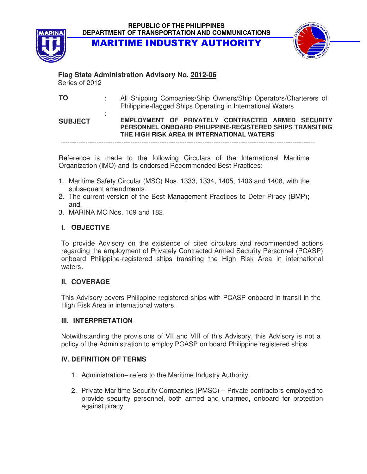MARITIME INDUSTRY AUTHORITY



# **Flag State Administration Advisory No. 2012-06**

Series of 2012

**TO** : All Shipping Companies/Ship Owners/Ship Operators/Charterers of Philippine-flagged Ships Operating in International Waters

#### **SUBJECT**  : **EMPLOYMENT OF PRIVATELY CONTRACTED ARMED SECURITY PERSONNEL ONBOARD PHILIPPINE-REGISTERED SHIPS TRANSITING THE HIGH RISK AREA IN INTERNATIONAL WATERS**

-----------------------------------------------------------------------------------------------------------------

Reference is made to the following Circulars of the International Maritime Organization (IMO) and its endorsed Recommended Best Practices:

- 1. Maritime Safety Circular (MSC) Nos. 1333, 1334, 1405, 1406 and 1408, with the subsequent amendments;
- 2. The current version of the Best Management Practices to Deter Piracy (BMP); and,
- 3. MARINA MC Nos. 169 and 182.

## **I. OBJECTIVE**

To provide Advisory on the existence of cited circulars and recommended actions regarding the employment of Privately Contracted Armed Security Personnel (PCASP) onboard Philippine-registered ships transiting the High Risk Area in international waters.

### **II. COVERAGE**

This Advisory covers Philippine-registered ships with PCASP onboard in transit in the High Risk Area in international waters.

### **III. INTERPRETATION**

Notwithstanding the provisions of VII and VIII of this Advisory, this Advisory is not a policy of the Administration to employ PCASP on board Philippine registered ships.

### **IV. DEFINITION OF TERMS**

- 1. Administration– refers to the Maritime Industry Authority.
- 2. Private Maritime Security Companies (PMSC) Private contractors employed to provide security personnel, both armed and unarmed, onboard for protection against piracy.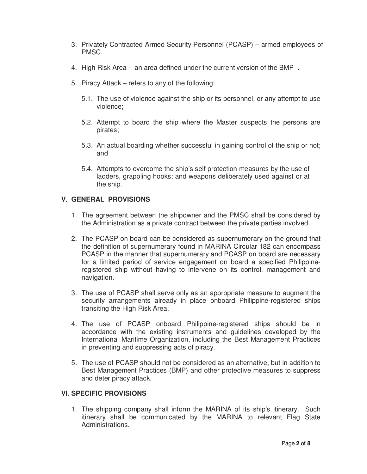- 3. Privately Contracted Armed Security Personnel (PCASP) armed employees of PMSC.
- 4. High Risk Area an area defined under the current version of the BMP .
- 5. Piracy Attack refers to any of the following:
	- 5.1. The use of violence against the ship or its personnel, or any attempt to use violence;
	- 5.2. Attempt to board the ship where the Master suspects the persons are pirates;
	- 5.3. An actual boarding whether successful in gaining control of the ship or not; and
	- 5.4. Attempts to overcome the ship's self protection measures by the use of ladders, grappling hooks; and weapons deliberately used against or at the ship.

#### **V. GENERAL PROVISIONS**

- 1. The agreement between the shipowner and the PMSC shall be considered by the Administration as a private contract between the private parties involved.
- 2. The PCASP on board can be considered as supernumerary on the ground that the definition of supernumerary found in MARINA Circular 182 can encompass PCASP in the manner that supernumerary and PCASP on board are necessary for a limited period of service engagement on board a specified Philippineregistered ship without having to intervene on its control, management and navigation.
- 3. The use of PCASP shall serve only as an appropriate measure to augment the security arrangements already in place onboard Philippine-registered ships transiting the High Risk Area.
- 4. The use of PCASP onboard Philippine-registered ships should be in accordance with the existing instruments and guidelines developed by the International Maritime Organization, including the Best Management Practices in preventing and suppressing acts of piracy.
- 5. The use of PCASP should not be considered as an alternative, but in addition to Best Management Practices (BMP) and other protective measures to suppress and deter piracy attack.

#### **VI. SPECIFIC PROVISIONS**

1. The shipping company shall inform the MARINA of its ship's itinerary. Such itinerary shall be communicated by the MARINA to relevant Flag State Administrations.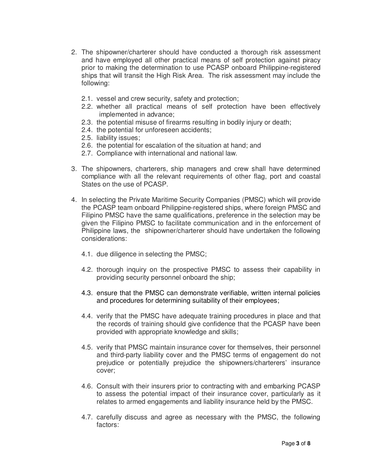- 2. The shipowner/charterer should have conducted a thorough risk assessment and have employed all other practical means of self protection against piracy prior to making the determination to use PCASP onboard Philippine-registered ships that will transit the High Risk Area. The risk assessment may include the following:
	- 2.1. vessel and crew security, safety and protection;
	- 2.2. whether all practical means of self protection have been effectively implemented in advance;
	- 2.3. the potential misuse of firearms resulting in bodily injury or death;
	- 2.4. the potential for unforeseen accidents;
	- 2.5. liability issues;
	- 2.6. the potential for escalation of the situation at hand; and
	- 2.7. Compliance with international and national law.
- 3. The shipowners, charterers, ship managers and crew shall have determined compliance with all the relevant requirements of other flag, port and coastal States on the use of PCASP.
- 4. In selecting the Private Maritime Security Companies (PMSC) which will provide the PCASP team onboard Philippine-registered ships, where foreign PMSC and Filipino PMSC have the same qualifications, preference in the selection may be given the Filipino PMSC to facilitate communication and in the enforcement of Philippine laws, the shipowner/charterer should have undertaken the following considerations:
	- 4.1. due diligence in selecting the PMSC;
	- 4.2. thorough inquiry on the prospective PMSC to assess their capability in providing security personnel onboard the ship;
	- 4.3. ensure that the PMSC can demonstrate verifiable, written internal policies and procedures for determining suitability of their employees;
	- 4.4. verify that the PMSC have adequate training procedures in place and that the records of training should give confidence that the PCASP have been provided with appropriate knowledge and skills;
	- 4.5. verify that PMSC maintain insurance cover for themselves, their personnel and third-party liability cover and the PMSC terms of engagement do not prejudice or potentially prejudice the shipowners/charterers' insurance cover;
	- 4.6. Consult with their insurers prior to contracting with and embarking PCASP to assess the potential impact of their insurance cover, particularly as it relates to armed engagements and liability insurance held by the PMSC.
	- 4.7. carefully discuss and agree as necessary with the PMSC, the following factors: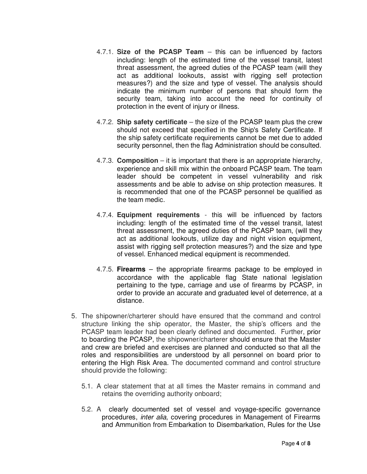- 4.7.1. **Size of the PCASP Team** this can be influenced by factors including: length of the estimated time of the vessel transit, latest threat assessment, the agreed duties of the PCASP team (will they act as additional lookouts, assist with rigging self protection measures?) and the size and type of vessel. The analysis should indicate the minimum number of persons that should form the security team, taking into account the need for continuity of protection in the event of injury or illness.
- 4.7.2. **Ship safety certificate** the size of the PCASP team plus the crew should not exceed that specified in the Ship's Safety Certificate. If the ship safety certificate requirements cannot be met due to added security personnel, then the flag Administration should be consulted.
- 4.7.3. **Composition** it is important that there is an appropriate hierarchy, experience and skill mix within the onboard PCASP team. The team leader should be competent in vessel vulnerability and risk assessments and be able to advise on ship protection measures. It is recommended that one of the PCASP personnel be qualified as the team medic.
- 4.7.4. **Equipment requirements** this will be influenced by factors including: length of the estimated time of the vessel transit, latest threat assessment, the agreed duties of the PCASP team, (will they act as additional lookouts, utilize day and night vision equipment, assist with rigging self protection measures?) and the size and type of vessel. Enhanced medical equipment is recommended.
- 4.7.5. **Firearms**  the appropriate firearms package to be employed in accordance with the applicable flag State national legislation pertaining to the type, carriage and use of firearms by PCASP, in order to provide an accurate and graduated level of deterrence, at a distance.
- 5. The shipowner/charterer should have ensured that the command and control structure linking the ship operator, the Master, the ship's officers and the PCASP team leader had been clearly defined and documented. Further, prior to boarding the PCASP, the shipowner/charterer should ensure that the Master and crew are briefed and exercises are planned and conducted so that all the roles and responsibilities are understood by all personnel on board prior to entering the High Risk Area. The documented command and control structure should provide the following:
	- 5.1. A clear statement that at all times the Master remains in command and retains the overriding authority onboard;
	- 5.2. A clearly documented set of vessel and voyage-specific governance procedures, inter alia, covering procedures in Management of Firearms and Ammunition from Embarkation to Disembarkation, Rules for the Use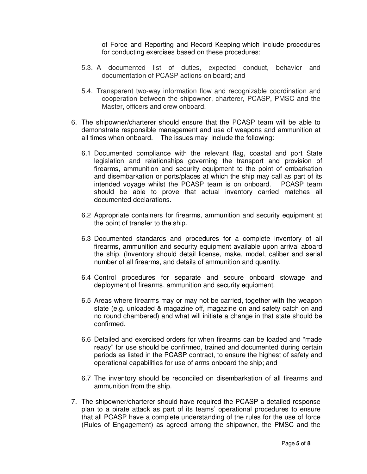of Force and Reporting and Record Keeping which include procedures for conducting exercises based on these procedures;

- 5.3. A documented list of duties, expected conduct, behavior and documentation of PCASP actions on board; and
- 5.4. Transparent two-way information flow and recognizable coordination and cooperation between the shipowner, charterer, PCASP, PMSC and the Master, officers and crew onboard.
- 6. The shipowner/charterer should ensure that the PCASP team will be able to demonstrate responsible management and use of weapons and ammunition at all times when onboard. The issues may include the following:
	- 6.1 Documented compliance with the relevant flag, coastal and port State legislation and relationships governing the transport and provision of firearms, ammunition and security equipment to the point of embarkation and disembarkation or ports/places at which the ship may call as part of its intended voyage whilst the PCASP team is on onboard. PCASP team should be able to prove that actual inventory carried matches all documented declarations.
	- 6.2 Appropriate containers for firearms, ammunition and security equipment at the point of transfer to the ship.
	- 6.3 Documented standards and procedures for a complete inventory of all firearms, ammunition and security equipment available upon arrival aboard the ship. (Inventory should detail license, make, model, caliber and serial number of all firearms, and details of ammunition and quantity.
	- 6.4 Control procedures for separate and secure onboard stowage and deployment of firearms, ammunition and security equipment.
	- 6.5 Areas where firearms may or may not be carried, together with the weapon state (e.g. unloaded & magazine off, magazine on and safety catch on and no round chambered) and what will initiate a change in that state should be confirmed.
	- 6.6 Detailed and exercised orders for when firearms can be loaded and "made ready" for use should be confirmed, trained and documented during certain periods as listed in the PCASP contract, to ensure the highest of safety and operational capabilities for use of arms onboard the ship; and
	- 6.7 The inventory should be reconciled on disembarkation of all firearms and ammunition from the ship.
- 7. The shipowner/charterer should have required the PCASP a detailed response plan to a pirate attack as part of its teams' operational procedures to ensure that all PCASP have a complete understanding of the rules for the use of force (Rules of Engagement) as agreed among the shipowner, the PMSC and the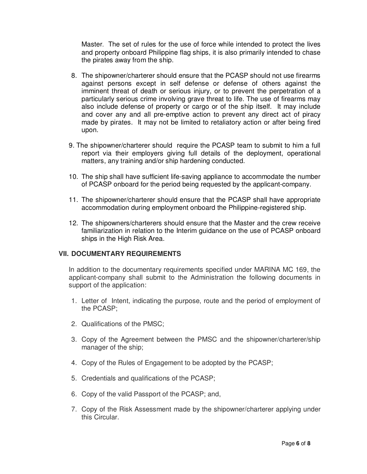Master. The set of rules for the use of force while intended to protect the lives and property onboard Philippine flag ships, it is also primarily intended to chase the pirates away from the ship.

- 8. The shipowner/charterer should ensure that the PCASP should not use firearms against persons except in self defense or defense of others against the imminent threat of death or serious injury, or to prevent the perpetration of a particularly serious crime involving grave threat to life. The use of firearms may also include defense of property or cargo or of the ship itself. It may include and cover any and all pre-emptive action to prevent any direct act of piracy made by pirates. It may not be limited to retaliatory action or after being fired upon.
- 9. The shipowner/charterer should require the PCASP team to submit to him a full report via their employers giving full details of the deployment, operational matters, any training and/or ship hardening conducted.
- 10. The ship shall have sufficient life-saving appliance to accommodate the number of PCASP onboard for the period being requested by the applicant-company.
- 11. The shipowner/charterer should ensure that the PCASP shall have appropriate accommodation during employment onboard the Philippine-registered ship.
- 12. The shipowners/charterers should ensure that the Master and the crew receive familiarization in relation to the Interim guidance on the use of PCASP onboard ships in the High Risk Area.

#### **VII. DOCUMENTARY REQUIREMENTS**

In addition to the documentary requirements specified under MARINA MC 169, the applicant-company shall submit to the Administration the following documents in support of the application:

- 1. Letter of Intent, indicating the purpose, route and the period of employment of the PCASP;
- 2. Qualifications of the PMSC;
- 3. Copy of the Agreement between the PMSC and the shipowner/charterer/ship manager of the ship;
- 4. Copy of the Rules of Engagement to be adopted by the PCASP;
- 5. Credentials and qualifications of the PCASP;
- 6. Copy of the valid Passport of the PCASP; and,
- 7. Copy of the Risk Assessment made by the shipowner/charterer applying under this Circular.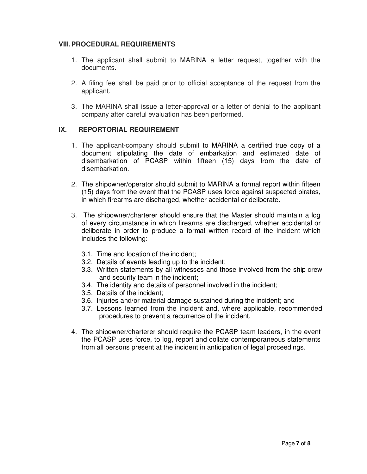#### **VIII. PROCEDURAL REQUIREMENTS**

- 1. The applicant shall submit to MARINA a letter request, together with the documents.
- 2. A filing fee shall be paid prior to official acceptance of the request from the applicant.
- 3. The MARINA shall issue a letter-approval or a letter of denial to the applicant company after careful evaluation has been performed.

#### **IX. REPORTORIAL REQUIREMENT**

- 1. The applicant-company should submit to MARINA a certified true copy of a document stipulating the date of embarkation and estimated date of disembarkation of PCASP within fifteen (15) days from the date of disembarkation.
- 2. The shipowner/operator should submit to MARINA a formal report within fifteen (15) days from the event that the PCASP uses force against suspected pirates, in which firearms are discharged, whether accidental or deliberate.
- 3. The shipowner/charterer should ensure that the Master should maintain a log of every circumstance in which firearms are discharged, whether accidental or deliberate in order to produce a formal written record of the incident which includes the following:
	- 3.1. Time and location of the incident;
	- 3.2. Details of events leading up to the incident;
	- 3.3. Written statements by all witnesses and those involved from the ship crew and security team in the incident;
	- 3.4. The identity and details of personnel involved in the incident;
	- 3.5. Details of the incident;
	- 3.6. Injuries and/or material damage sustained during the incident; and
	- 3.7. Lessons learned from the incident and, where applicable, recommended procedures to prevent a recurrence of the incident.
- 4. The shipowner/charterer should require the PCASP team leaders, in the event the PCASP uses force, to log, report and collate contemporaneous statements from all persons present at the incident in anticipation of legal proceedings.